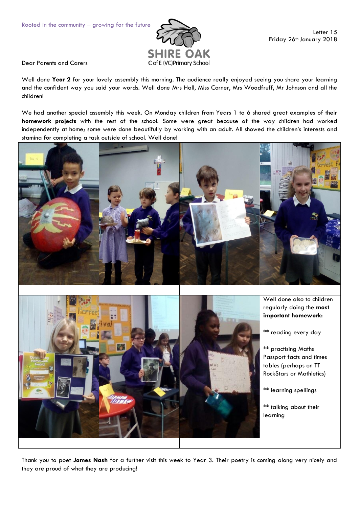

Dear Parents and Carers

Well done **Year 2** for your lovely assembly this morning. The audience really enjoyed seeing you share your learning and the confident way you said your words. Well done Mrs Hall, Miss Corner, Mrs Woodfruff, Mr Johnson and all the children!

We had another special assembly this week. On Monday children from Years 1 to 6 shared great examples of their **homework projects** with the rest of the school. Some were great because of the way children had worked independently at home; some were done beautifully by working with an adult. All showed the children's interests and stamina for completing a task outside of school. Well done!





Well done also to children regularly doing the **most important homework:**

\*\* reading every day

\*\* practising Maths Passport facts and times tables (perhaps on TT RockStars or Mathletics)

\*\* learning spellings

\*\* talking about their learning

Thank you to poet **James Nash** for a further visit this week to Year 3. Their poetry is coming along very nicely and they are proud of what they are producing!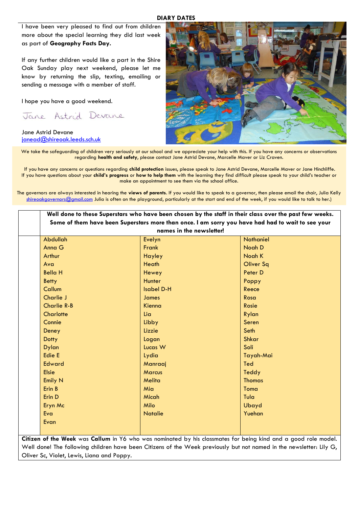## **DIARY DATES**

I have been very pleased to find out from children more about the special learning they did last week as part of **Geography Facts Day.** 

If any further children would like a part in the Shire Oak Sunday play next weekend, please let me know by returning the slip, texting, emailing or sending a message with a member of staff.

I hope you have a good weekend.

Jane Astrid Devane

Jane Astrid Devane [janead@shireoak.leeds.sch.uk](mailto:janead@shireoak.leeds.sch.uk)



We take the safeguarding of children very seriously at our school and we appreciate your help with this. If you have any concerns or observations regarding **health and safety**, please contact Jane Astrid Devane, Marcelle Maver or Liz Craven.

If you have any concerns or questions regarding **child protection** issues, please speak to Jane Astrid Devane, Marcelle Maver or Jane Hinchliffe. If you have questions about your **child's progress** or **how to help them** with the learning they find difficult please speak to your child's teacher or make an appointment to see them via the school office.

The governors are always interested in hearing the **views of parents**. If you would like to speak to a governor, then please email the chair, Julia Kelly [shireoakgovernors@gmail.com](mailto:shireoakgovernors@gmail.com) Julia is often on the playground, particularly at the start and end of the week, if you would like to talk to her.)

|                    | names in the newsletter! |                  |
|--------------------|--------------------------|------------------|
| <b>Abdullah</b>    | Evelyn                   | <b>Nathaniel</b> |
| Anna G             | Frank                    | Noah D           |
| Arthur             | <b>Hayley</b>            | Noah K           |
| Ava                | Heath                    | <b>Oliver Sq</b> |
| <b>Bella H</b>     | Hewey                    | Peter D          |
| <b>Betty</b>       | Hunter                   | Poppy            |
| Callum             | <b>Isabel D-H</b>        | Reece            |
| Charlie J          | James                    | Rosa             |
| <b>Charlie R-B</b> | Kienna                   | Rosie            |
| Charlotte          | Lia                      | Rylan            |
| Connie             | Libby                    | Seren            |
| Deney              | Lizzie                   | Seth             |
| <b>Dotty</b>       | Logan                    | <b>Shkar</b>     |
| <b>Dylan</b>       | Lucas W                  | Soli             |
| Edie E             | Lydia                    | Tayah-Mai        |
| <b>Edward</b>      | Manraaj                  | Ted              |
| <b>Elsie</b>       | Marcus                   | Teddy            |
| Emily N            | Melita                   | <b>Thomas</b>    |
| Erin B             | Mia                      | Toma             |
| Erin D             | Micah                    | Tula             |
| Eryn Mc            | Milo                     | Ubayd            |
| Eva                | <b>Natalie</b>           | Yuehan           |

**Citizen of the Week** was **Callum** in Y6 who was nominated by his classmates for being kind and a good role model. Well done! The following children have been Citizens of the Week previously but not named in the newsletter: Lily G, Oliver Sc, Violet, Lewis, Liana and Poppy.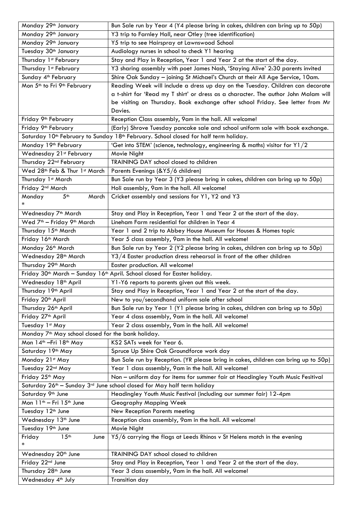| Monday 29 <sup>th</sup> January                                                                              | Bun Sale run by Year 4 (Y4 please bring in cakes, children can bring up to 50p)     |  |
|--------------------------------------------------------------------------------------------------------------|-------------------------------------------------------------------------------------|--|
| Monday 29 <sup>th</sup> January                                                                              | Y3 trip to Farnley Hall, near Otley (tree identification)                           |  |
| Monday 29 <sup>th</sup> January                                                                              | Y5 trip to see Hairspray at Lawnswood School                                        |  |
| Tuesday 30 <sup>th</sup> January                                                                             | Audiology nurses in school to check Y1 hearing                                      |  |
| Thursday 1st February                                                                                        | Stay and Play in Reception, Year 1 and Year 2 at the start of the day.              |  |
| Thursday 1st February                                                                                        | Y3 sharing assembly with poet James Nash, 'Staying Alive' 2:30 parents invited      |  |
| Sunday 4 <sup>th</sup> February                                                                              | Shire Oak Sunday - joining St Michael's Church at their All Age Service, 10am.      |  |
| Mon 5 <sup>th</sup> to Fri 9 <sup>th</sup> February                                                          | Reading Week will include a dress up day on the Tuesday. Children can decorate      |  |
|                                                                                                              | a t-shirt for 'Read my T shirt' or dress as a character. The author John Malam will |  |
|                                                                                                              | be visiting on Thursday. Book exchange after school Friday. See letter from Mr      |  |
|                                                                                                              | Davies.                                                                             |  |
| Friday 9 <sup>th</sup> February                                                                              | Reception Class assembly, 9am in the hall. All welcome!                             |  |
| Friday 9 <sup>th</sup> February                                                                              | (Early) Shrove Tuesday pancake sale and school uniform sale with book exchange.     |  |
| Saturday 10 <sup>th</sup> February to Sunday 18 <sup>th</sup> February. School closed for half term holiday. |                                                                                     |  |
| Monday 19 <sup>th</sup> February                                                                             | 'Get into STEM' (science, technology, engineering & maths) visitor for Y1/2         |  |
| Wednesday 21st February                                                                                      | Movie Night                                                                         |  |
| Thursday 22 <sup>nd</sup> February                                                                           | TRAINING DAY school closed to children                                              |  |
| Wed 28th Feb & Thur 1st March                                                                                | Parents Evenings (&Y5/6 children)                                                   |  |
| Thursday 1st March                                                                                           | Bun Sale run by Year 3 (Y3 please bring in cakes, children can bring up to 50p)     |  |
| Friday 2 <sup>nd</sup> March                                                                                 | Holi assembly, 9am in the hall. All welcome!                                        |  |
| 5 <sup>th</sup><br>Monday<br>March                                                                           | Cricket assembly and sessions for Y1, Y2 and Y3                                     |  |
| ∗                                                                                                            |                                                                                     |  |
| Wednesday 7 <sup>th</sup> March                                                                              | Stay and Play in Reception, Year 1 and Year 2 at the start of the day.              |  |
| Wed 7 <sup>th</sup> - Friday 9 <sup>th</sup> March                                                           | Lineham Farm residential for children in Year 4                                     |  |
| Thursday 15 <sup>th</sup> March                                                                              | Year 1 and 2 trip to Abbey House Museum for Houses & Homes topic                    |  |
| Friday 16th March                                                                                            | Year 5 class assembly, 9am in the hall. All welcome!                                |  |
| Monday 26 <sup>th</sup> March                                                                                | Bun Sale run by Year 2 (Y2 please bring in cakes, children can bring up to 50p)     |  |
| Wednesday 28 <sup>th</sup> March                                                                             | $Y3/4$ Easter production dress rehearsal in front of the other children             |  |
| Thursday 29 <sup>th</sup> March                                                                              | Easter production. All welcome!                                                     |  |
| Friday 30 <sup>th</sup> March - Sunday 16 <sup>th</sup> April. School closed for Easter holiday.             |                                                                                     |  |
| Wednesday 18 <sup>th</sup> April                                                                             | Y1-Y6 reports to parents given out this week.                                       |  |
| Thursday 19 <sup>th</sup> April                                                                              | Stay and Play in Reception, Year 1 and Year 2 at the start of the day.              |  |
| Friday 20 <sup>th</sup> April                                                                                | New to you/secondhand uniform sale after school                                     |  |
| Thursday 26 <sup>th</sup> April                                                                              | Bun Sale run by Year 1 (Y1 please bring in cakes, children can bring up to 50p)     |  |
| Friday 27 <sup>th</sup> April                                                                                | Year 4 class assembly, 9am in the hall. All welcome!                                |  |
| Tuesday 1st May                                                                                              | Year 2 class assembly, 9am in the hall. All welcome!                                |  |
| Monday 7 <sup>th</sup> May school closed for the bank holiday.                                               |                                                                                     |  |
| Mon 14th - Fri 18th May                                                                                      | KS2 SATs week for Year 6.                                                           |  |
| Saturday 19th May                                                                                            | Spruce Up Shire Oak Groundforce work day                                            |  |
| Monday 21st May                                                                                              | Bun Sale run by Reception. (YR please bring in cakes, children can bring up to 50p) |  |
| Tuesday 22nd May                                                                                             | Year 1 class assembly, 9am in the hall. All welcome!                                |  |
| Friday 25 <sup>th</sup> May                                                                                  | Non - uniform day for items for summer fair at Headingley Youth Music Fesitival     |  |
| Saturday 26 <sup>th</sup> - Sunday 3 <sup>rd</sup> June school closed for May half term holiday              |                                                                                     |  |
| Saturday 9th June                                                                                            | Headingley Youth Music Festival (including our summer fair) 12-4pm                  |  |
| Mon 11 <sup>th</sup> - Fri 15 <sup>th</sup> June                                                             | Geography Mapping Week                                                              |  |
| Tuesday 12 <sup>th</sup> June                                                                                | New Reception Parents meeting                                                       |  |
| Wednesday 13 <sup>th</sup> June                                                                              | Reception class assembly, 9am in the hall. All welcome!                             |  |
| Tuesday 19th June                                                                                            | Movie Night                                                                         |  |
| Friday<br>15 <sup>th</sup><br>June<br>∗                                                                      | Y5/6 carrying the flags at Leeds Rhinos v St Helens match in the evening            |  |
| Wednesday 20 <sup>th</sup> June                                                                              | TRAINING DAY school closed to children                                              |  |
| Friday 22nd June                                                                                             | Stay and Play in Reception, Year 1 and Year 2 at the start of the day.              |  |
|                                                                                                              |                                                                                     |  |
| Thursday 28 <sup>th</sup> June                                                                               | Year 3 class assembly, 9am in the hall. All welcome!                                |  |